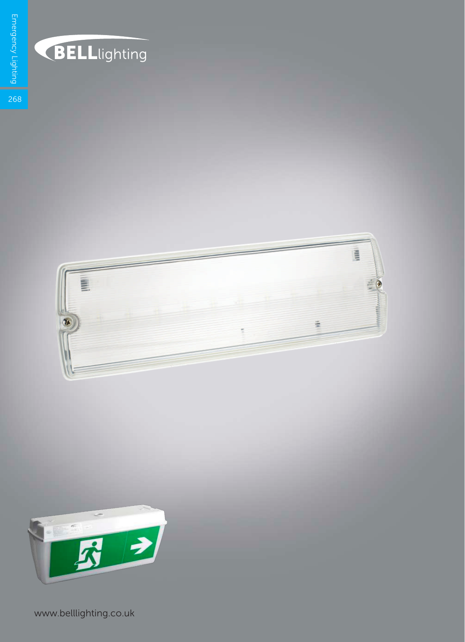

## **BELL**lighting



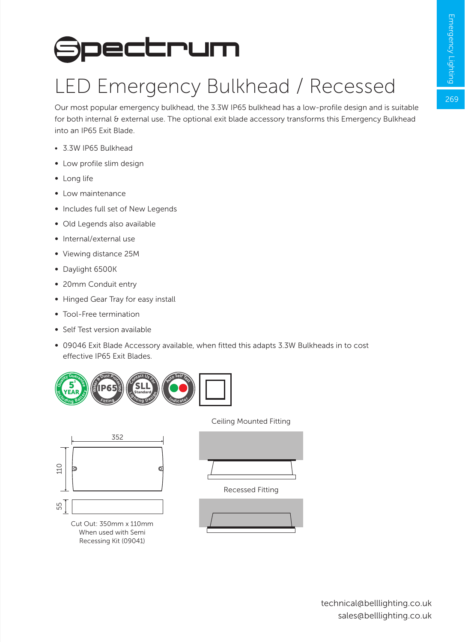269

## **Spectrum**

## LED Emergency Bulkhead / Recessed

Our most popular emergency bulkhead, the 3.3W IP65 bulkhead has a low-profile design and is suitable for both internal & external use. The optional exit blade accessory transforms this Emergency Bulkhead into an IP65 Exit Blade.

- 3.3W IP65 Bulkhead
- ∞ Low profile slim design
- ∞ Long life
- ∞ Low maintenance
- ∞ Includes full set of New Legends
- ∞ Old Legends also available
- ∞ Internal/external use
- ∞ Viewing distance 25M
- ∞ Daylight 6500K
- ∞ 20mm Conduit entry
- Hinged Gear Tray for easy install
- ∞ Tool-Free termination
- ∞ Self Test version available
- ∞ 09046 Exit Blade Accessory available, when fitted this adapts 3.3W Bulkheads in to cost effective IP65 Exit Blades.





When used with Semi Recessing Kit (09041)

Ceiling Mounted Fitting



Recessed Fitting

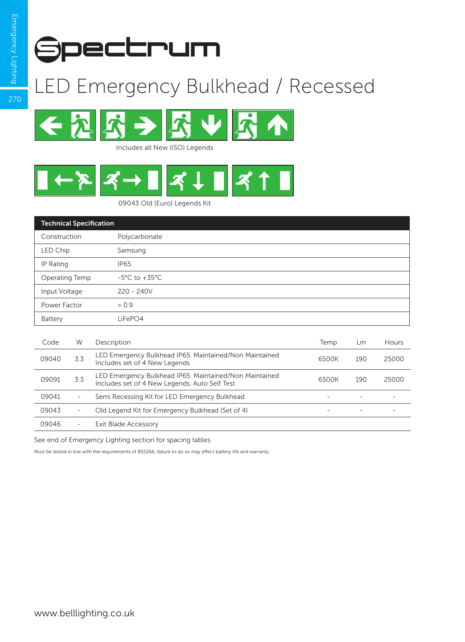

## LED Emergency Bulkhead / Recessed



Includes all New (ISO) Legends



09043 Old (Euro) Legends Kit

| <b>Technical Specification</b> |                          |                                                                                                         |       |     |       |
|--------------------------------|--------------------------|---------------------------------------------------------------------------------------------------------|-------|-----|-------|
| Construction                   |                          | Polycarbonate                                                                                           |       |     |       |
| LED Chip                       |                          | Samsung                                                                                                 |       |     |       |
| IP Rating                      |                          | <b>IP65</b>                                                                                             |       |     |       |
| Operating Temp                 |                          | $-5^{\circ}$ C to $+35^{\circ}$ C                                                                       |       |     |       |
| Input Voltage                  |                          | $220 - 240V$                                                                                            |       |     |       |
| Power Factor                   |                          | > 0.9                                                                                                   |       |     |       |
| Battery                        |                          | LiFePO4                                                                                                 |       |     |       |
|                                |                          |                                                                                                         |       |     |       |
| Code                           | W                        | Description                                                                                             | Temp  | Lm  | Hours |
| 09040                          | 3.3                      | LED Emergency Bulkhead IP65. Maintained/Non Maintained<br>Includes set of 4 New Legends                 | 6500K | 190 | 25000 |
| 09091                          | 3.3                      | LED Emergency Bulkhead IP65. Maintained/Non Maintained<br>Includes set of 4 New Legends. Auto Self Test | 6500K | 190 | 25000 |
| 09041                          | $\overline{\phantom{a}}$ | Semi Recessing Kit for LED Emergency Bulkhead                                                           |       |     |       |
| 09043                          | $\overline{\phantom{a}}$ | Old Legend Kit for Emergency Bulkhead (Set of 4)                                                        |       |     |       |
| 09046                          | $\overline{\phantom{0}}$ | <b>Exit Blade Accessory</b>                                                                             |       |     |       |

See end of Emergency Lighting section for spacing tables

Must be tested in line with the requirements of BS5266, failure to do so may effect battery life and warranty.